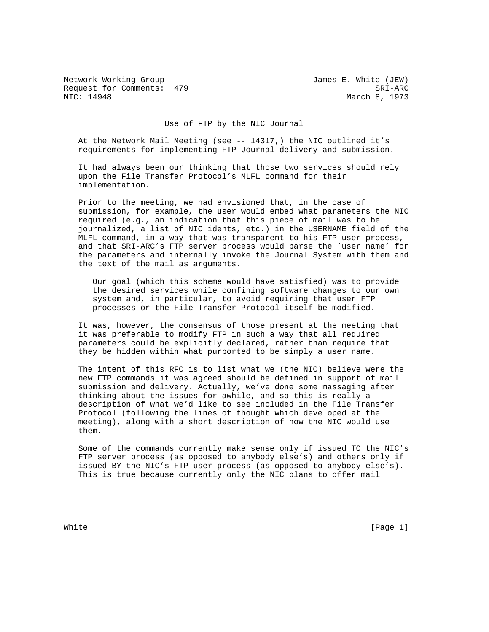Network Working Group James E. White (JEW) Request for Comments: 479 SRI-ARC<br>NIC: 14948 March 8, 1973

March 8, 1973

Use of FTP by the NIC Journal

 At the Network Mail Meeting (see -- 14317,) the NIC outlined it's requirements for implementing FTP Journal delivery and submission.

 It had always been our thinking that those two services should rely upon the File Transfer Protocol's MLFL command for their implementation.

 Prior to the meeting, we had envisioned that, in the case of submission, for example, the user would embed what parameters the NIC required (e.g., an indication that this piece of mail was to be journalized, a list of NIC idents, etc.) in the USERNAME field of the MLFL command, in a way that was transparent to his FTP user process, and that SRI-ARC's FTP server process would parse the 'user name' for the parameters and internally invoke the Journal System with them and the text of the mail as arguments.

 Our goal (which this scheme would have satisfied) was to provide the desired services while confining software changes to our own system and, in particular, to avoid requiring that user FTP processes or the File Transfer Protocol itself be modified.

 It was, however, the consensus of those present at the meeting that it was preferable to modify FTP in such a way that all required parameters could be explicitly declared, rather than require that they be hidden within what purported to be simply a user name.

 The intent of this RFC is to list what we (the NIC) believe were the new FTP commands it was agreed should be defined in support of mail submission and delivery. Actually, we've done some massaging after thinking about the issues for awhile, and so this is really a description of what we'd like to see included in the File Transfer Protocol (following the lines of thought which developed at the meeting), along with a short description of how the NIC would use them.

 Some of the commands currently make sense only if issued TO the NIC's FTP server process (as opposed to anybody else's) and others only if issued BY the NIC's FTP user process (as opposed to anybody else's). This is true because currently only the NIC plans to offer mail

White  $[Page 1]$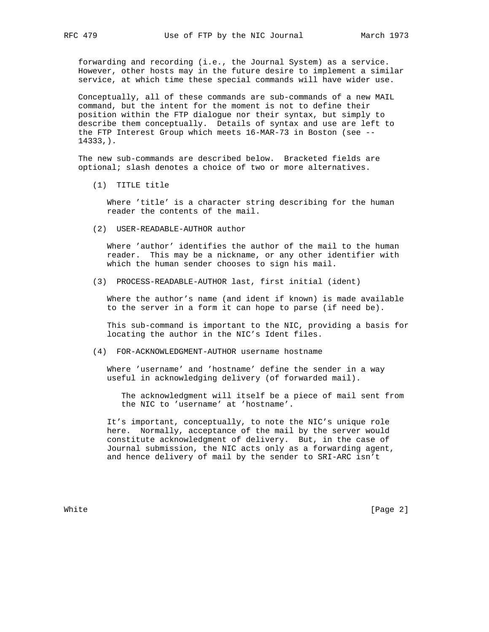forwarding and recording (i.e., the Journal System) as a service. However, other hosts may in the future desire to implement a similar service, at which time these special commands will have wider use.

 Conceptually, all of these commands are sub-commands of a new MAIL command, but the intent for the moment is not to define their position within the FTP dialogue nor their syntax, but simply to describe them conceptually. Details of syntax and use are left to the FTP Interest Group which meets 16-MAR-73 in Boston (see -- 14333,).

 The new sub-commands are described below. Bracketed fields are optional; slash denotes a choice of two or more alternatives.

(1) TITLE title

 Where 'title' is a character string describing for the human reader the contents of the mail.

(2) USER-READABLE-AUTHOR author

 Where 'author' identifies the author of the mail to the human reader. This may be a nickname, or any other identifier with which the human sender chooses to sign his mail.

(3) PROCESS-READABLE-AUTHOR last, first initial (ident)

 Where the author's name (and ident if known) is made available to the server in a form it can hope to parse (if need be).

 This sub-command is important to the NIC, providing a basis for locating the author in the NIC's Ident files.

(4) FOR-ACKNOWLEDGMENT-AUTHOR username hostname

 Where 'username' and 'hostname' define the sender in a way useful in acknowledging delivery (of forwarded mail).

 The acknowledgment will itself be a piece of mail sent from the NIC to 'username' at 'hostname'.

 It's important, conceptually, to note the NIC's unique role here. Normally, acceptance of the mail by the server would constitute acknowledgment of delivery. But, in the case of Journal submission, the NIC acts only as a forwarding agent, and hence delivery of mail by the sender to SRI-ARC isn't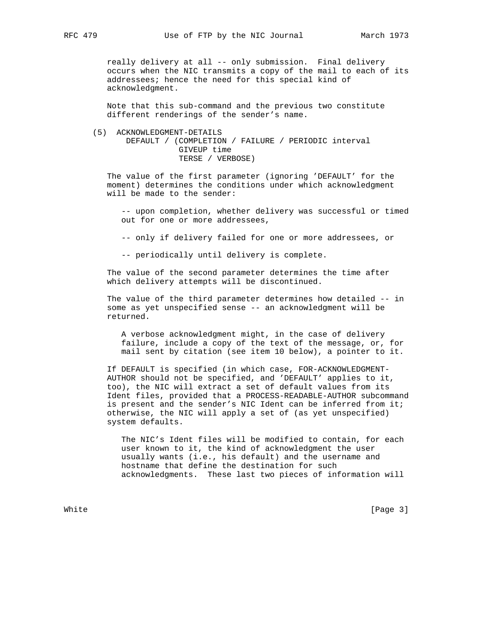really delivery at all -- only submission. Final delivery occurs when the NIC transmits a copy of the mail to each of its addressees; hence the need for this special kind of acknowledgment.

 Note that this sub-command and the previous two constitute different renderings of the sender's name.

 (5) ACKNOWLEDGMENT-DETAILS DEFAULT / (COMPLETION / FAILURE / PERIODIC interval GIVEUP time TERSE / VERBOSE)

 The value of the first parameter (ignoring 'DEFAULT' for the moment) determines the conditions under which acknowledgment will be made to the sender:

 -- upon completion, whether delivery was successful or timed out for one or more addressees,

-- only if delivery failed for one or more addressees, or

-- periodically until delivery is complete.

 The value of the second parameter determines the time after which delivery attempts will be discontinued.

 The value of the third parameter determines how detailed -- in some as yet unspecified sense -- an acknowledgment will be returned.

 A verbose acknowledgment might, in the case of delivery failure, include a copy of the text of the message, or, for mail sent by citation (see item 10 below), a pointer to it.

 If DEFAULT is specified (in which case, FOR-ACKNOWLEDGMENT- AUTHOR should not be specified, and 'DEFAULT' applies to it, too), the NIC will extract a set of default values from its Ident files, provided that a PROCESS-READABLE-AUTHOR subcommand is present and the sender's NIC Ident can be inferred from it; otherwise, the NIC will apply a set of (as yet unspecified) system defaults.

 The NIC's Ident files will be modified to contain, for each user known to it, the kind of acknowledgment the user usually wants (i.e., his default) and the username and hostname that define the destination for such acknowledgments. These last two pieces of information will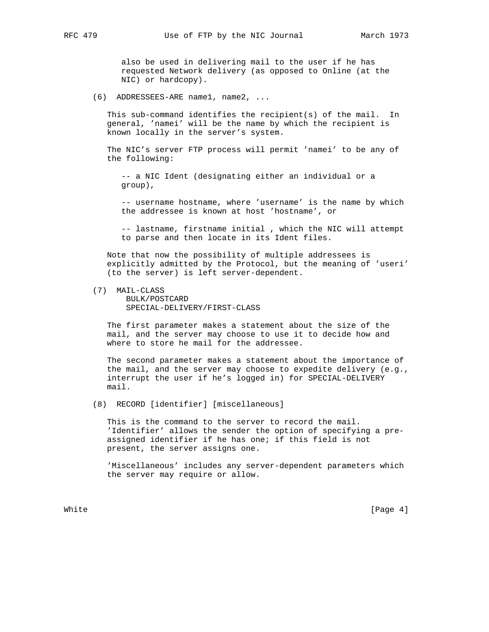also be used in delivering mail to the user if he has requested Network delivery (as opposed to Online (at the NIC) or hardcopy).

(6) ADDRESSEES-ARE name1, name2, ...

 This sub-command identifies the recipient(s) of the mail. In general, 'namei' will be the name by which the recipient is known locally in the server's system.

 The NIC's server FTP process will permit 'namei' to be any of the following:

 -- a NIC Ident (designating either an individual or a group),

 -- username hostname, where 'username' is the name by which the addressee is known at host 'hostname', or

 -- lastname, firstname initial , which the NIC will attempt to parse and then locate in its Ident files.

 Note that now the possibility of multiple addressees is explicitly admitted by the Protocol, but the meaning of 'useri' (to the server) is left server-dependent.

(7) MAIL-CLASS

 BULK/POSTCARD SPECIAL-DELIVERY/FIRST-CLASS

 The first parameter makes a statement about the size of the mail, and the server may choose to use it to decide how and where to store he mail for the addressee.

 The second parameter makes a statement about the importance of the mail, and the server may choose to expedite delivery (e.g., interrupt the user if he's logged in) for SPECIAL-DELIVERY mail.

(8) RECORD [identifier] [miscellaneous]

 This is the command to the server to record the mail. 'Identifier' allows the sender the option of specifying a pre assigned identifier if he has one; if this field is not present, the server assigns one.

 'Miscellaneous' includes any server-dependent parameters which the server may require or allow.

White  $[Page 4]$